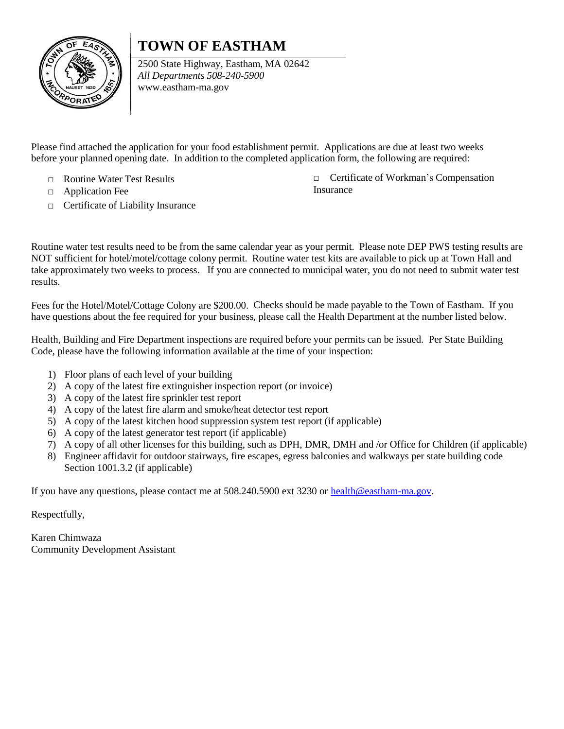## **TOWN OF EASTHAM**



2500 State Highway, Eastham, MA 02642 *All Departments 508-240-5900* [www.eastham-ma.gov](http://www.eastham-ma.gov/)

Please find attached the application for your food establishment permit. Applications are due at least two weeks before your planned opening date. In addition to the completed application form, the following are required:

- □ Routine Water Test Results
- □ Application Fee
- □ Certificate of Liability Insurance

□ Certificate of Workman's Compensation Insurance

Routine water test results need to be from the same calendar year as your permit. Please note DEP PWS testing results are NOT sufficient for hotel/motel/cottage colony permit. Routine water test kits are available to pick up at Town Hall and take approximately two weeks to process. If you are connected to municipal water, you do not need to submit water test results.

Fees for the Hotel/Motel/Cottage Colony are \$200.00. Checks should be made payable to the Town of Eastham. If you have questions about the fee required for your business, please call the Health Department at the number listed below.

Health, Building and Fire Department inspections are required before your permits can be issued. Per State Building Code, please have the following information available at the time of your inspection:

- 1) Floor plans of each level of your building
- 2) A copy of the latest fire extinguisher inspection report (or invoice)
- 3) A copy of the latest fire sprinkler test report
- 4) A copy of the latest fire alarm and smoke/heat detector test report
- 5) A copy of the latest kitchen hood suppression system test report (if applicable)
- 6) A copy of the latest generator test report (if applicable)
- 7) A copy of all other licenses for this building, such as DPH, DMR, DMH and /or Office for Children (if applicable)
- 8) Engineer affidavit for outdoor stairways, fire escapes, egress balconies and walkways per state building code Section 1001.3.2 (if applicable)

If you have any questions, please contact me at 508.240.5900 ext 3230 or [health@eastham-ma.gov.](mailto:health@eastham-ma.gov)

Respectfully,

Karen Chimwaza Community Development Assistant